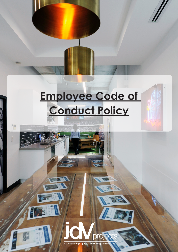# **Employee Code of Conduct Policy**

i m

**KENNIK** 

exceptional projects . enduring relationships

Oro

id.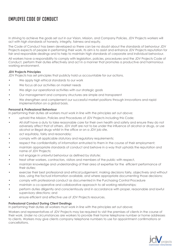# EMPLOYEE CODE OF CONDUCT

In striving to achieve the goals set out in our Vision, Mission, and Company Policies, JDV Projects workers will act with high standards of honesty, integrity, fairness and equity.

The Code of Conduct has been developed so there can be no doubt about the standards of behaviour JDV Projects expects of people in performing their work. Its aim is to assist and enhance JDV Projects reputation for fair and responsible dealings and to help to maintain high standards of corporate and individual behaviour.

All workers have a responsibility to comply with legislation, policies, procedures and the JDV Projects Code of Conduct, perform their duties effectively and act in a manner that promotes a productive and harmonious working environment.

## **JDV Projects Principles**

JDV Projects has set principles that publicly hold us accountable for our actions.

- We apply high ethical standards to our work
- We focus all our activities on market needs
- We alian our operational activities with our strategic goals
- Our management and company structures are simple and transparent
- We strengthen and complement our successful market positions through innovations and rapid implementation on a global basis.

## **Personal & Professional Behaviour**

In performing their duties all workers must work in line with the principles set out above;

- uphold the Mission, Policies and Procedures of JDV Projects including this Code;
- All staff have a duty to take reasonable care for their own health and safety and ensure they do not adversely affect that of others. JDV staff are not to be under the influence of alcohol or drugs, or use alcohol or illegal drugs whilst in the office or on a JDV job site.
- act equitably, fairly and reasonably;
- comply with all applicable statutory and regulatory requirements;
- respect the confidentiality of information entrusted to them in the course of their employment;
- maintain appropriate standards of conduct and behave in a way that upholds the reputation and name of JDV Projects;
- not engage in unlawful behaviour as defined by statute;
- treat other workers, contractors, visitors and members of the public with respect,
- maintain knowledge and understanding of their area of expertise for the efficient performance of their duties;
- exercise their best professional and ethical judgement, making decisions fairly, objectively and without bias, using the factual information available, and where appropriate documenting those decisions;
- comply with professional conduct as documented in the Purchasing Control Procedure
- maintain a co-operative and collaborative approach to all working relationships;
- perform duties diligently and conscientiously and in accordance with proper, reasonable and lawful supervisory directions; and
- ensure efficient and effective use of JDV Projects resources.

#### **Professional Conduct During Client Dealings**

In performing their duties all workers must work in line with the principles set out above;

Workers and representatives of JDV Projects may be required to visit the premises of clients in the course of their work. Under no circumstances are workers to provide their home telephone number or home addresses to clients. Workers may give clients company telephone numbers to use for appointment confirmations or cancellations.

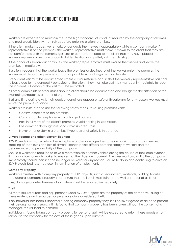# EMPLOYEE CODE OF CONDUCT CONTINUED

Workers are expected to maintain the same high standards of conduct required by the company at all times and must clearly identify themselves before entering a client premises.

If the client makes suggestive remarks or conducts themselves inappropriately while a company worker / representative is on the premises, the worker / representative must make it known to the client that they are not comfortable with the remarks, gestures or conduct. Indicate to the client that they have placed the worker / representative in an uncomfortable situation and politely ask them to stop.

If the conduct / behaviour continues, the worker / representative must excuse themselves and leave the premises immediately.

If a client requests that the worker leave the premises or declines to let the worker enter the premises the worker must depart the premises as soon as possible without argument or debate.

Every client visit must be documented where a circumstance occurs that the worker / representative has had to leave due to the conduct / behaviour of the client, they must also call their manager immediately to report the incident, full details of the visit must be recorded.

All other complaints or other issues about a client should be documented and brought to the attention of the Managing Director as a matter of urgency.

If at any time during a visit, individuals or conditions appear unsafe or threatening for any reason, workers must leave the premises at once.

Workers are instructed to use the following safety measures during premises visits:

- • Confirm directions to the premises.
- Carry a mobile telephone with a charged battery.
- Park in full view of the client's premises. Avoid parking in side streets.
- Use common thoroughfares and avoid isolated stairs.
- Never enter or stay in a premises if your personal safety is threatened.

#### **Drivers licence and other relevant licences**

JDV Projects insists on safety in the workplace and encourages the same on public roads and amenities. Breaking of road rules and loss of drivers' licence points affects both the safety of workers and the performance and productivity of the company.

Should a worker be required to drive a motor vehicle or other vehicle during the course of their employment it is mandatory for each worker to ensure that their licence is current. A worker must also notify the company immediately should their licence no longer be valid for any reason. Failure to do so and continuing to drive on JDV Projects business may result in termination of employment.

# **Company Property**

Workers entrusted with Company property of JDV Projects, such as equipment, materials, building facilities and general company property, shall ensure that the item is maintained and well cared for at all times.

Loss, damage or defectiveness of such item, must be reported immediately.

# **Theft**

All materials, resources and equipment owned by JDV Projects are the property of the company. Taking of these materials and resources for personal gain is considered theft.

If an individual has been suspected of taking company property they shall be investigated or asked to present their belongings for a search. If it is found that company property has been taken without the consent of a manager, this will lead to dismissal.

Individual(s) found taking company property for personal gain will be expected to return these goods or to reimburse the company for the cost of these goods upon dismissal.